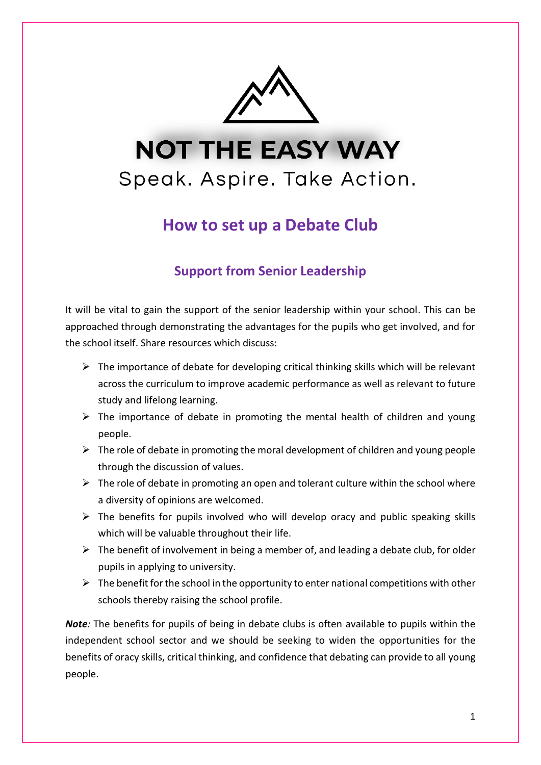

# **NOT THE EASY WAY** Speak. Aspire. Take Action.

## **How to set up a Debate Club**

## **Support from Senior Leadership**

It will be vital to gain the support of the senior leadership within your school. This can be approached through demonstrating the advantages for the pupils who get involved, and for the school itself. Share resources which discuss:

- $\triangleright$  The importance of debate for developing critical thinking skills which will be relevant across the curriculum to improve academic performance as well as relevant to future study and lifelong learning.
- $\triangleright$  The importance of debate in promoting the mental health of children and young people.
- $\triangleright$  The role of debate in promoting the moral development of children and young people through the discussion of values.
- $\triangleright$  The role of debate in promoting an open and tolerant culture within the school where a diversity of opinions are welcomed.
- $\triangleright$  The benefits for pupils involved who will develop oracy and public speaking skills which will be valuable throughout their life.
- $\triangleright$  The benefit of involvement in being a member of, and leading a debate club, for older pupils in applying to university.
- $\triangleright$  The benefit for the school in the opportunity to enter national competitions with other schools thereby raising the school profile.

*Note:* The benefits for pupils of being in debate clubs is often available to pupils within the independent school sector and we should be seeking to widen the opportunities for the benefits of oracy skills, critical thinking, and confidence that debating can provide to all young people.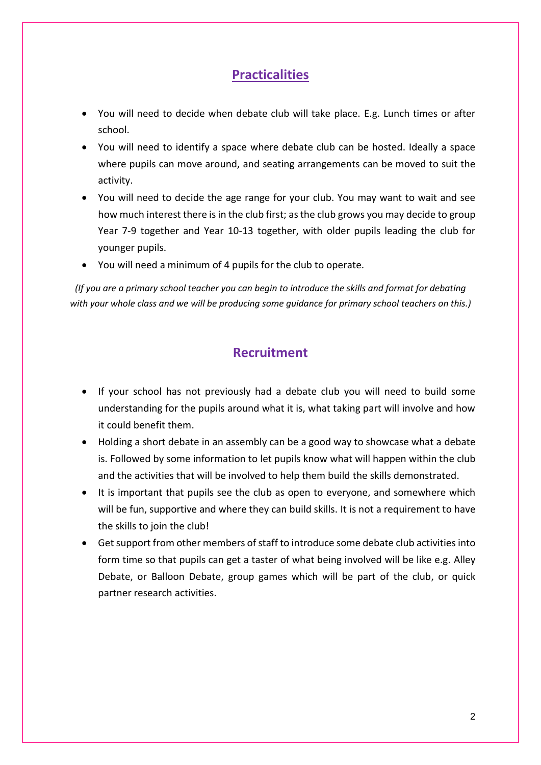## **Practicalities**

- You will need to decide when debate club will take place. E.g. Lunch times or after school.
- You will need to identify a space where debate club can be hosted. Ideally a space where pupils can move around, and seating arrangements can be moved to suit the activity.
- You will need to decide the age range for your club. You may want to wait and see how much interest there is in the club first; as the club grows you may decide to group Year 7-9 together and Year 10-13 together, with older pupils leading the club for younger pupils.
- You will need a minimum of 4 pupils for the club to operate.

*(If you are a primary school teacher you can begin to introduce the skills and format for debating with your whole class and we will be producing some guidance for primary school teachers on this.)*

## **Recruitment**

- If your school has not previously had a debate club you will need to build some understanding for the pupils around what it is, what taking part will involve and how it could benefit them.
- Holding a short debate in an assembly can be a good way to showcase what a debate is. Followed by some information to let pupils know what will happen within the club and the activities that will be involved to help them build the skills demonstrated.
- It is important that pupils see the club as open to everyone, and somewhere which will be fun, supportive and where they can build skills. It is not a requirement to have the skills to join the club!
- Get support from other members of staff to introduce some debate club activitiesinto form time so that pupils can get a taster of what being involved will be like e.g. Alley Debate, or Balloon Debate, group games which will be part of the club, or quick partner research activities.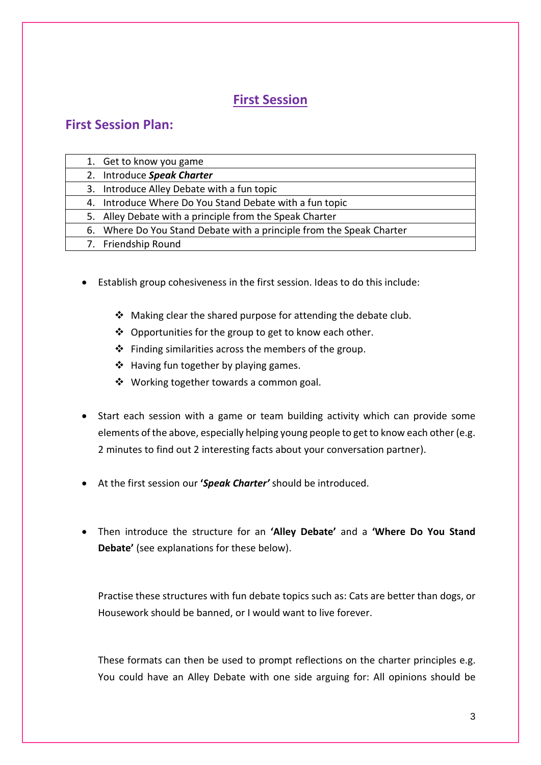## **First Session**

### **First Session Plan:**

| 1. Get to know you game                                              |  |
|----------------------------------------------------------------------|--|
| 2. Introduce Speak Charter                                           |  |
| 3. Introduce Alley Debate with a fun topic                           |  |
| 4. Introduce Where Do You Stand Debate with a fun topic              |  |
| 5. Alley Debate with a principle from the Speak Charter              |  |
| 6. Where Do You Stand Debate with a principle from the Speak Charter |  |
| 7. Friendship Round                                                  |  |

- Establish group cohesiveness in the first session. Ideas to do this include:
	- ❖ Making clear the shared purpose for attending the debate club.
	- ❖ Opportunities for the group to get to know each other.
	- ❖ Finding similarities across the members of the group.
	- ❖ Having fun together by playing games.
	- ❖ Working together towards a common goal.
- Start each session with a game or team building activity which can provide some elements of the above, especially helping young people to get to know each other (e.g. 2 minutes to find out 2 interesting facts about your conversation partner).
- At the first session our **'***Speak Charter'* should be introduced.
- Then introduce the structure for an **'Alley Debate'** and a **'Where Do You Stand Debate'** (see explanations for these below).

Practise these structures with fun debate topics such as: Cats are better than dogs, or Housework should be banned, or I would want to live forever.

These formats can then be used to prompt reflections on the charter principles e.g. You could have an Alley Debate with one side arguing for: All opinions should be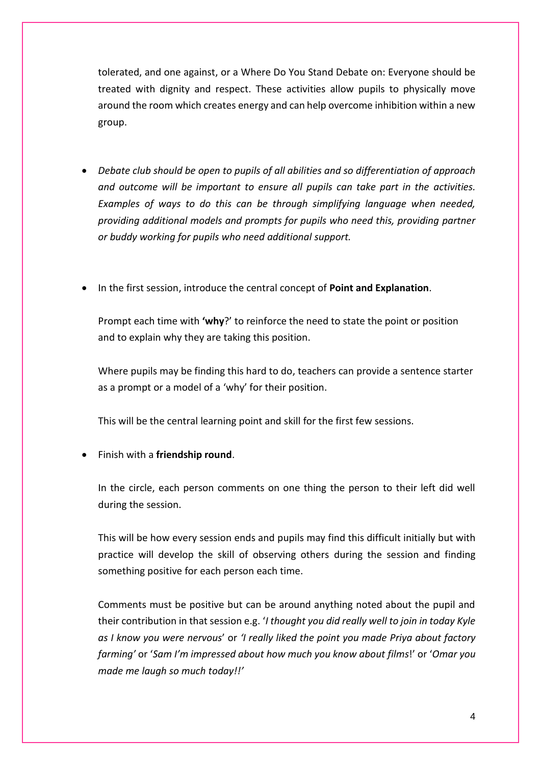tolerated, and one against, or a Where Do You Stand Debate on: Everyone should be treated with dignity and respect. These activities allow pupils to physically move around the room which creates energy and can help overcome inhibition within a new group.

- *Debate club should be open to pupils of all abilities and so differentiation of approach and outcome will be important to ensure all pupils can take part in the activities. Examples of ways to do this can be through simplifying language when needed, providing additional models and prompts for pupils who need this, providing partner or buddy working for pupils who need additional support.*
- In the first session, introduce the central concept of **Point and Explanation**.

Prompt each time with **'why**?' to reinforce the need to state the point or position and to explain why they are taking this position.

Where pupils may be finding this hard to do, teachers can provide a sentence starter as a prompt or a model of a 'why' for their position.

This will be the central learning point and skill for the first few sessions.

• Finish with a **friendship round**.

In the circle, each person comments on one thing the person to their left did well during the session.

This will be how every session ends and pupils may find this difficult initially but with practice will develop the skill of observing others during the session and finding something positive for each person each time.

Comments must be positive but can be around anything noted about the pupil and their contribution in that session e.g. '*I thought you did really well to join in today Kyle as I know you were nervous*' or *'I really liked the point you made Priya about factory farming'* or '*Sam I'm impressed about how much you know about films*!' or '*Omar you made me laugh so much today!!'*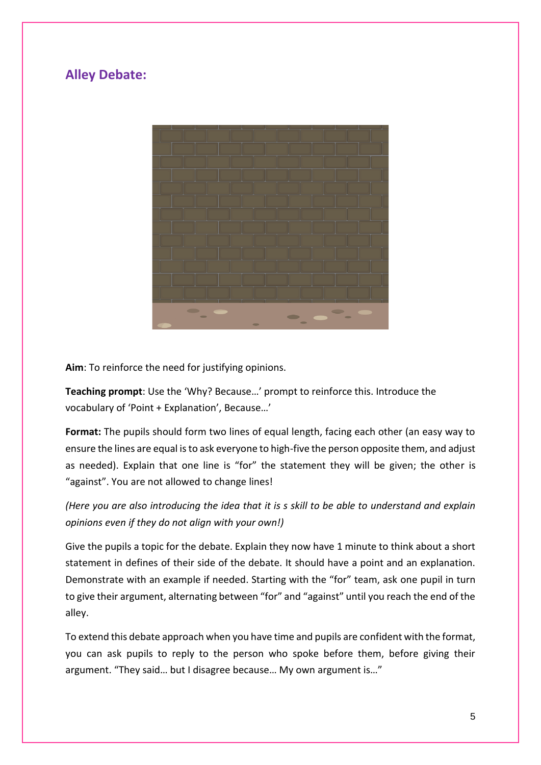## **Alley Debate:**



**Aim**: To reinforce the need for justifying opinions.

**Teaching prompt**: Use the 'Why? Because…' prompt to reinforce this. Introduce the vocabulary of 'Point + Explanation', Because…'

**Format:** The pupils should form two lines of equal length, facing each other (an easy way to ensure the lines are equal is to ask everyone to high-five the person opposite them, and adjust as needed). Explain that one line is "for" the statement they will be given; the other is "against". You are not allowed to change lines!

*(Here you are also introducing the idea that it is s skill to be able to understand and explain opinions even if they do not align with your own!)*

Give the pupils a topic for the debate. Explain they now have 1 minute to think about a short statement in defines of their side of the debate. It should have a point and an explanation. Demonstrate with an example if needed. Starting with the "for" team, ask one pupil in turn to give their argument, alternating between "for" and "against" until you reach the end of the alley.

To extend this debate approach when you have time and pupils are confident with the format, you can ask pupils to reply to the person who spoke before them, before giving their argument. "They said… but I disagree because… My own argument is…"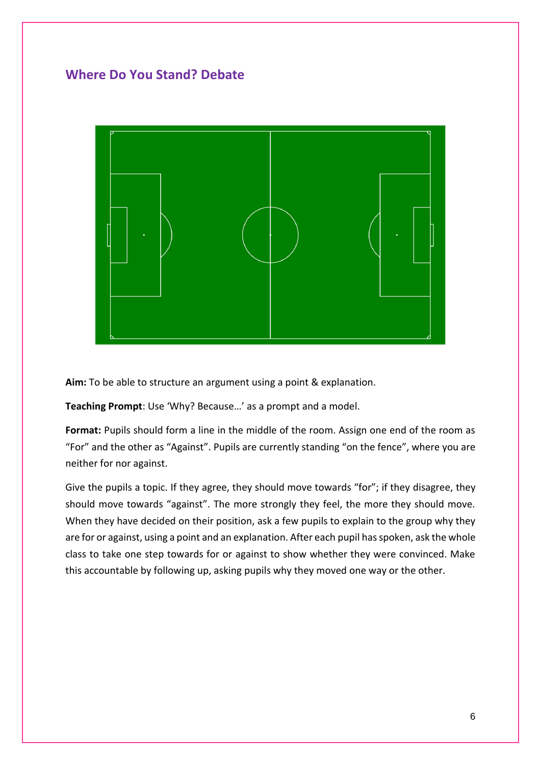## **Where Do You Stand? Debate**



**Aim:** To be able to structure an argument using a point & explanation.

**Teaching Prompt**: Use 'Why? Because…' as a prompt and a model.

Format: Pupils should form a line in the middle of the room. Assign one end of the room as "For" and the other as "Against". Pupils are currently standing "on the fence", where you are neither for nor against.

Give the pupils a topic. If they agree, they should move towards "for"; if they disagree, they should move towards "against". The more strongly they feel, the more they should move. When they have decided on their position, ask a few pupils to explain to the group why they are for or against, using a point and an explanation. After each pupil has spoken, ask the whole class to take one step towards for or against to show whether they were convinced. Make this accountable by following up, asking pupils why they moved one way or the other.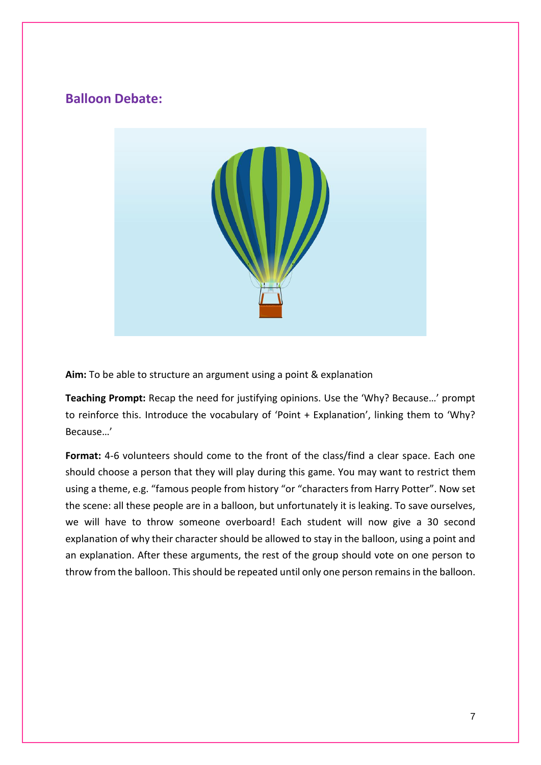## **Balloon Debate:**



**Aim:** To be able to structure an argument using a point & explanation

**Teaching Prompt:** Recap the need for justifying opinions. Use the 'Why? Because…' prompt to reinforce this. Introduce the vocabulary of 'Point + Explanation', linking them to 'Why? Because…'

**Format:** 4-6 volunteers should come to the front of the class/find a clear space. Each one should choose a person that they will play during this game. You may want to restrict them using a theme, e.g. "famous people from history "or "characters from Harry Potter". Now set the scene: all these people are in a balloon, but unfortunately it is leaking. To save ourselves, we will have to throw someone overboard! Each student will now give a 30 second explanation of why their character should be allowed to stay in the balloon, using a point and an explanation. After these arguments, the rest of the group should vote on one person to throw from the balloon. This should be repeated until only one person remains in the balloon.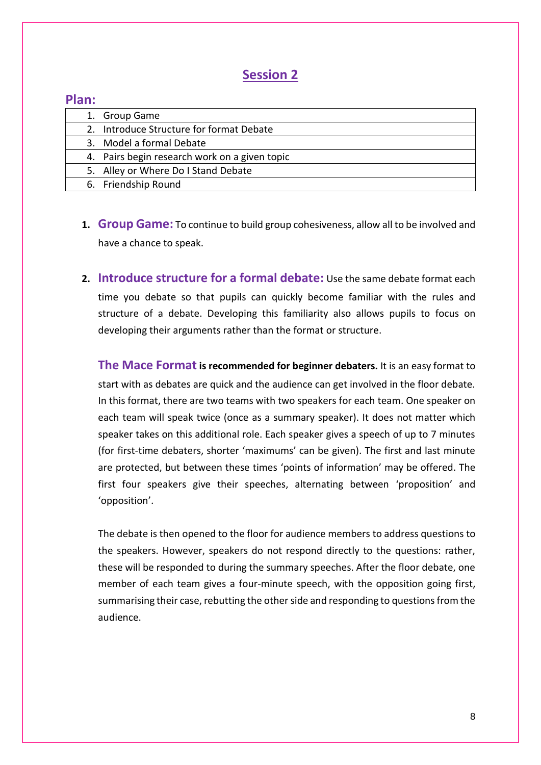### **Session 2**

#### **Plan:**

|  | 1. Group Game                                 |
|--|-----------------------------------------------|
|  | 2. Introduce Structure for format Debate      |
|  | 3. Model a formal Debate                      |
|  | 4. Pairs begin research work on a given topic |
|  | 5. Alley or Where Do I Stand Debate           |
|  | 6. Friendship Round                           |
|  |                                               |

- **1. Group Game:** To continue to build group cohesiveness, allow all to be involved and have a chance to speak.
- **2. Introduce structure for a formal debate:** Use the same debate format each time you debate so that pupils can quickly become familiar with the rules and structure of a debate. Developing this familiarity also allows pupils to focus on developing their arguments rather than the format or structure.

**The Mace Formatis recommended for beginner debaters.** It is an easy format to start with as debates are quick and the audience can get involved in the floor debate. In this format, there are two teams with two speakers for each team. One speaker on each team will speak twice (once as a summary speaker). It does not matter which speaker takes on this additional role. Each speaker gives a speech of up to 7 minutes (for first-time debaters, shorter 'maximums' can be given). The first and last minute are protected, but between these times 'points of information' may be offered. The first four speakers give their speeches, alternating between 'proposition' and 'opposition'.

The debate is then opened to the floor for audience members to address questions to the speakers. However, speakers do not respond directly to the questions: rather, these will be responded to during the summary speeches. After the floor debate, one member of each team gives a four-minute speech, with the opposition going first, summarising their case, rebutting the other side and responding to questions from the audience.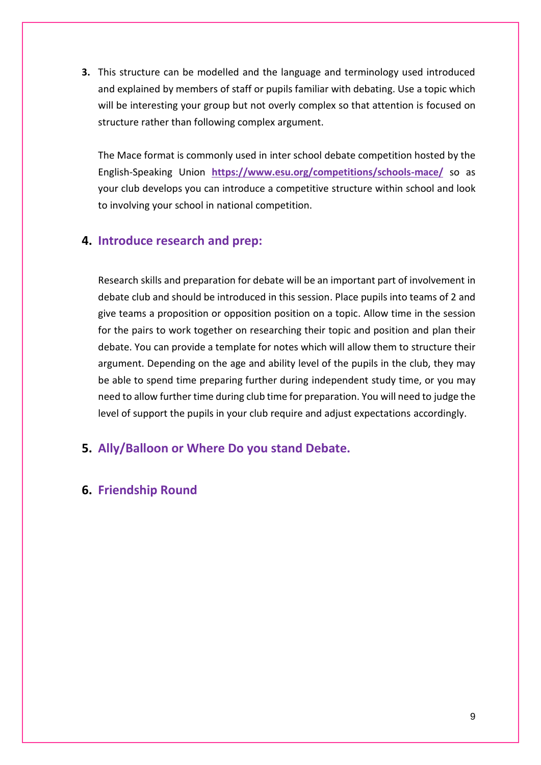**3.** This structure can be modelled and the language and terminology used introduced and explained by members of staff or pupils familiar with debating. Use a topic which will be interesting your group but not overly complex so that attention is focused on structure rather than following complex argument.

The Mace format is commonly used in inter school debate competition hosted by the English-Speaking Union **<https://www.esu.org/competitions/schools-mace/>** so as your club develops you can introduce a competitive structure within school and look to involving your school in national competition.

#### **4. Introduce research and prep:**

Research skills and preparation for debate will be an important part of involvement in debate club and should be introduced in this session. Place pupils into teams of 2 and give teams a proposition or opposition position on a topic. Allow time in the session for the pairs to work together on researching their topic and position and plan their debate. You can provide a template for notes which will allow them to structure their argument. Depending on the age and ability level of the pupils in the club, they may be able to spend time preparing further during independent study time, or you may need to allow further time during club time for preparation. You will need to judge the level of support the pupils in your club require and adjust expectations accordingly.

#### **5. Ally/Balloon or Where Do you stand Debate.**

#### **6. Friendship Round**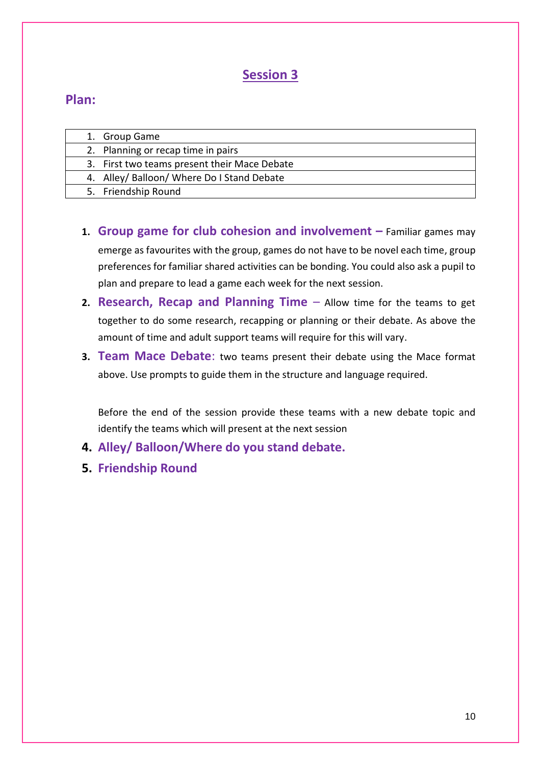## **Session 3**

## **Plan:**

| 1. Group Game                                |
|----------------------------------------------|
| 2. Planning or recap time in pairs           |
| 3. First two teams present their Mace Debate |
| 4. Alley/ Balloon/ Where Do I Stand Debate   |
| 5. Friendship Round                          |

- **1. Group game for club cohesion and involvement –** Familiar games may emerge as favourites with the group, games do not have to be novel each time, group preferences for familiar shared activities can be bonding. You could also ask a pupil to plan and prepare to lead a game each week for the next session.
- **2. Research, Recap and Planning Time** Allow time for the teams to get together to do some research, recapping or planning or their debate. As above the amount of time and adult support teams will require for this will vary.
- **3. Team Mace Debate**: two teams present their debate using the Mace format above. Use prompts to guide them in the structure and language required.

Before the end of the session provide these teams with a new debate topic and identify the teams which will present at the next session

- **4. Alley/ Balloon/Where do you stand debate.**
- **5. Friendship Round**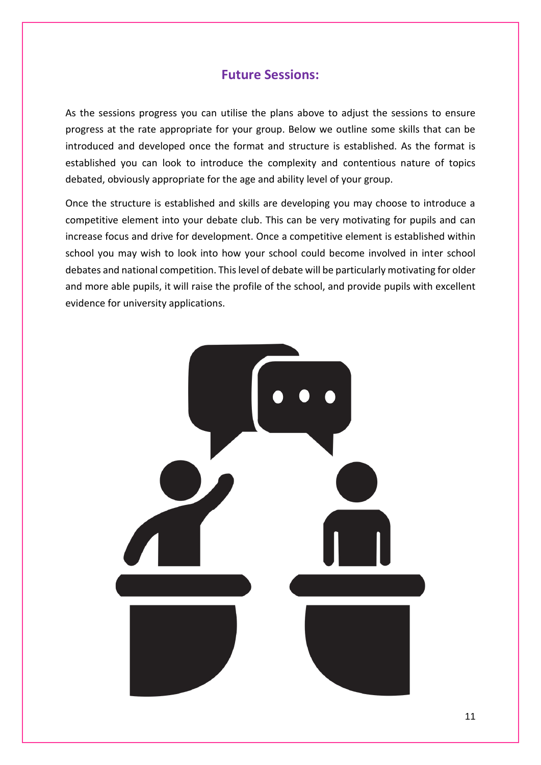#### **Future Sessions:**

As the sessions progress you can utilise the plans above to adjust the sessions to ensure progress at the rate appropriate for your group. Below we outline some skills that can be introduced and developed once the format and structure is established. As the format is established you can look to introduce the complexity and contentious nature of topics debated, obviously appropriate for the age and ability level of your group.

Once the structure is established and skills are developing you may choose to introduce a competitive element into your debate club. This can be very motivating for pupils and can increase focus and drive for development. Once a competitive element is established within school you may wish to look into how your school could become involved in inter school debates and national competition. This level of debate will be particularly motivating for older and more able pupils, it will raise the profile of the school, and provide pupils with excellent evidence for university applications.

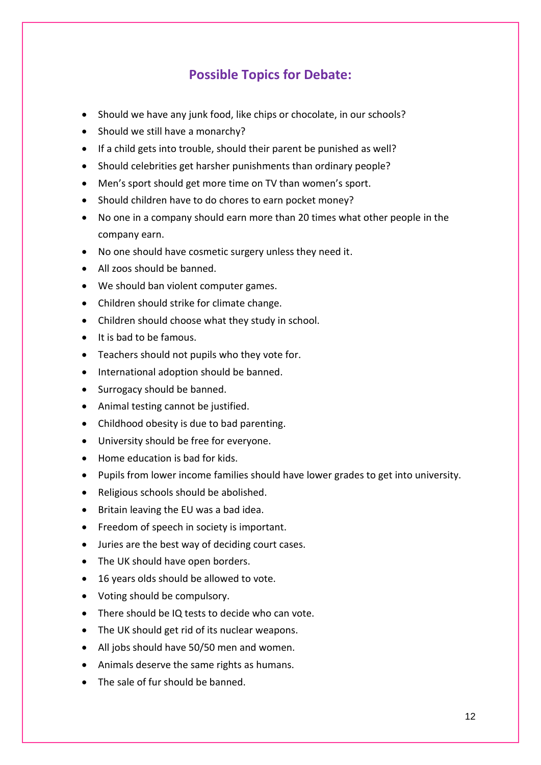## **Possible Topics for Debate:**

- Should we have any junk food, like chips or chocolate, in our schools?
- Should we still have a monarchy?
- If a child gets into trouble, should their parent be punished as well?
- Should celebrities get harsher punishments than ordinary people?
- Men's sport should get more time on TV than women's sport.
- Should children have to do chores to earn pocket money?
- No one in a company should earn more than 20 times what other people in the company earn.
- No one should have cosmetic surgery unless they need it.
- All zoos should be banned.
- We should ban violent computer games.
- Children should strike for climate change.
- Children should choose what they study in school.
- It is bad to be famous.
- Teachers should not pupils who they vote for.
- International adoption should be banned.
- Surrogacy should be banned.
- Animal testing cannot be justified.
- Childhood obesity is due to bad parenting.
- University should be free for everyone.
- Home education is bad for kids.
- Pupils from lower income families should have lower grades to get into university.
- Religious schools should be abolished.
- Britain leaving the EU was a bad idea.
- Freedom of speech in society is important.
- Juries are the best way of deciding court cases.
- The UK should have open borders.
- 16 years olds should be allowed to vote.
- Voting should be compulsory.
- There should be IQ tests to decide who can vote.
- The UK should get rid of its nuclear weapons.
- All jobs should have 50/50 men and women.
- Animals deserve the same rights as humans.
- The sale of fur should be banned.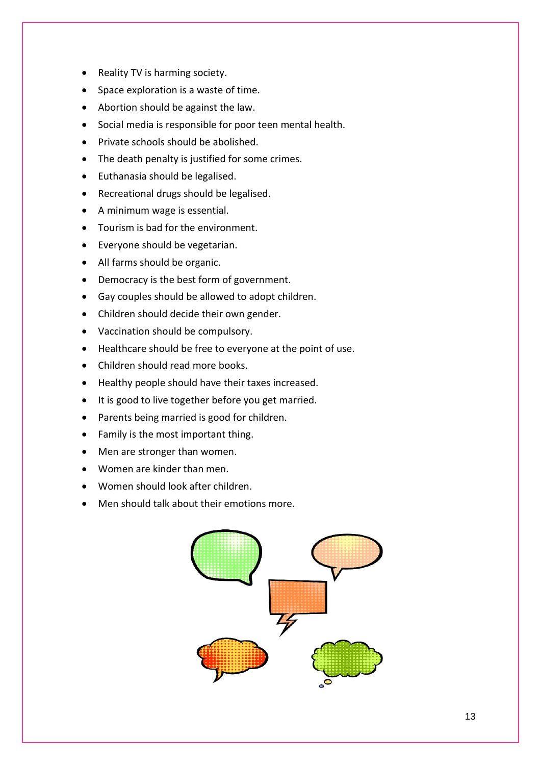- Reality TV is harming society.
- Space exploration is a waste of time.
- Abortion should be against the law.
- Social media is responsible for poor teen mental health.
- Private schools should be abolished.
- The death penalty is justified for some crimes.
- Euthanasia should be legalised.
- Recreational drugs should be legalised.
- A minimum wage is essential.
- Tourism is bad for the environment.
- Everyone should be vegetarian.
- All farms should be organic.
- Democracy is the best form of government.
- Gay couples should be allowed to adopt children.
- Children should decide their own gender.
- Vaccination should be compulsory.
- Healthcare should be free to everyone at the point of use.
- Children should read more books.
- Healthy people should have their taxes increased.
- It is good to live together before you get married.
- Parents being married is good for children.
- Family is the most important thing.
- Men are stronger than women.
- Women are kinder than men.
- Women should look after children.
- Men should talk about their emotions more.

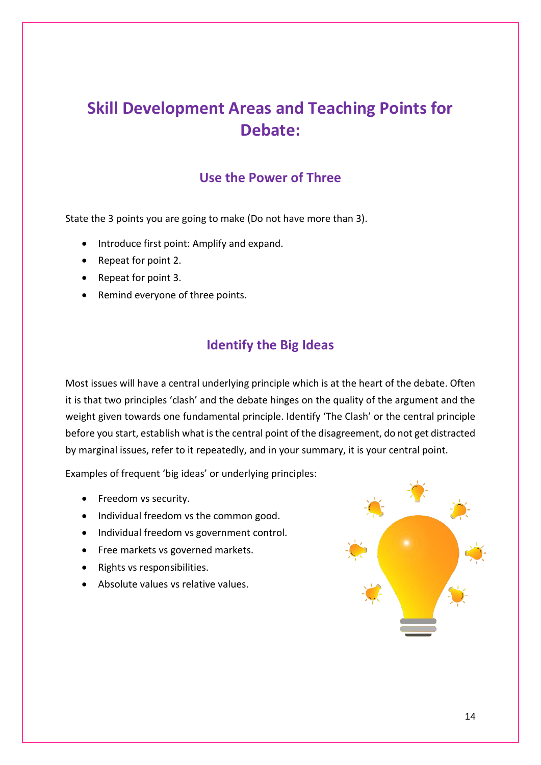## **Skill Development Areas and Teaching Points for Debate:**

## **Use the Power of Three**

State the 3 points you are going to make (Do not have more than 3).

- Introduce first point: Amplify and expand.
- Repeat for point 2.
- Repeat for point 3.
- Remind everyone of three points.

## **Identify the Big Ideas**

Most issues will have a central underlying principle which is at the heart of the debate. Often it is that two principles 'clash' and the debate hinges on the quality of the argument and the weight given towards one fundamental principle. Identify 'The Clash' or the central principle before you start, establish what is the central point of the disagreement, do not get distracted by marginal issues, refer to it repeatedly, and in your summary, it is your central point.

Examples of frequent 'big ideas' or underlying principles:

- Freedom vs security.
- Individual freedom vs the common good.
- Individual freedom vs government control.
- Free markets vs governed markets.
- Rights vs responsibilities.
- Absolute values vs relative values.

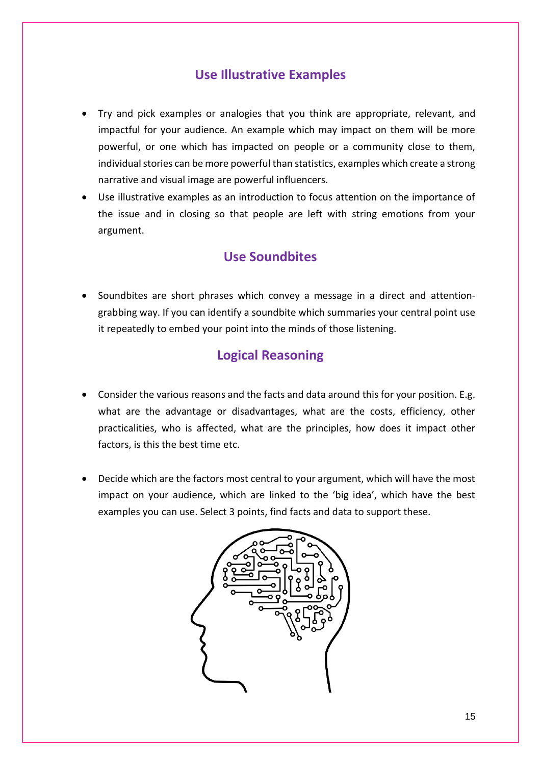## **Use Illustrative Examples**

- Try and pick examples or analogies that you think are appropriate, relevant, and impactful for your audience. An example which may impact on them will be more powerful, or one which has impacted on people or a community close to them, individual stories can be more powerful than statistics, examples which create a strong narrative and visual image are powerful influencers.
- Use illustrative examples as an introduction to focus attention on the importance of the issue and in closing so that people are left with string emotions from your argument.

### **Use Soundbites**

• Soundbites are short phrases which convey a message in a direct and attentiongrabbing way. If you can identify a soundbite which summaries your central point use it repeatedly to embed your point into the minds of those listening.

## **Logical Reasoning**

- Consider the various reasons and the facts and data around this for your position. E.g. what are the advantage or disadvantages, what are the costs, efficiency, other practicalities, who is affected, what are the principles, how does it impact other factors, is this the best time etc.
- Decide which are the factors most central to your argument, which will have the most impact on your audience, which are linked to the 'big idea', which have the best examples you can use. Select 3 points, find facts and data to support these.

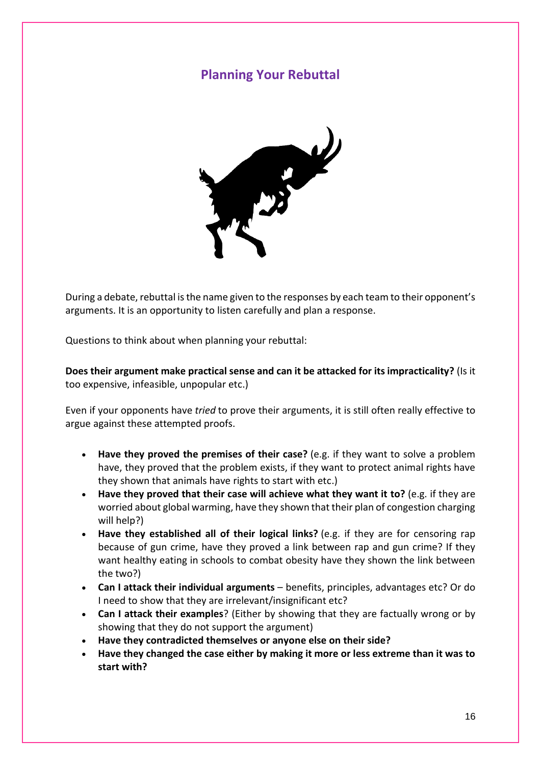### **Planning Your Rebuttal**



During a debate, rebuttal is the name given to the responses by each team to their opponent's arguments. It is an opportunity to listen carefully and plan a response.

Questions to think about when planning your rebuttal:

**Does their argument make practical sense and can it be attacked for its impracticality?** (Is it too expensive, infeasible, unpopular etc.)

Even if your opponents have *tried* to prove their arguments, it is still often really effective to argue against these attempted proofs.

- **Have they proved the premises of their case?** (e.g. if they want to solve a problem have, they proved that the problem exists, if they want to protect animal rights have they shown that animals have rights to start with etc.)
- **Have they proved that their case will achieve what they want it to?** (e.g. if they are worried about global warming, have they shown that their plan of congestion charging will help?)
- **Have they established all of their logical links?** (e.g. if they are for censoring rap because of gun crime, have they proved a link between rap and gun crime? If they want healthy eating in schools to combat obesity have they shown the link between the two?)
- **Can I attack their individual arguments** benefits, principles, advantages etc? Or do I need to show that they are irrelevant/insignificant etc?
- **Can I attack their examples**? (Either by showing that they are factually wrong or by showing that they do not support the argument)
- **Have they contradicted themselves or anyone else on their side?**
- **Have they changed the case either by making it more or less extreme than it was to start with?**